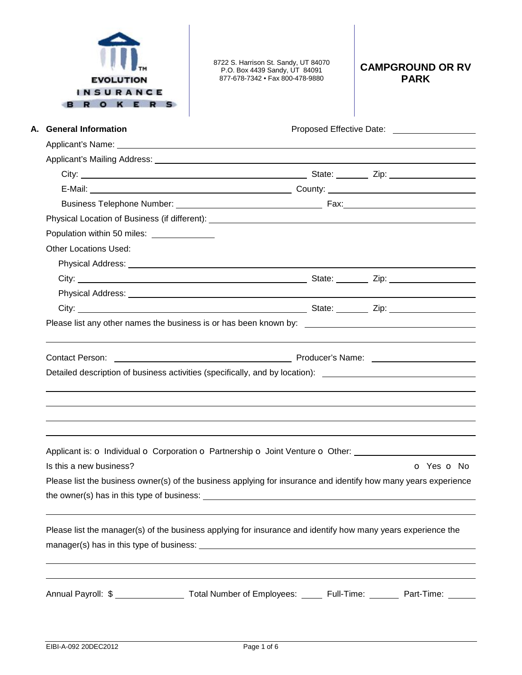| <b>EVOLUTION</b><br><b>INSURANCE</b><br>O K E R | 8722 S. Harrison St. Sandy, UT 84070<br>P.O. Box 4439 Sandy, UT 84091<br>877-678-7342 • Fax 800-478-9880                                                                                                                                                                                                                                        | <b>CAMPGROUND OR RV</b><br><b>PARK</b> |
|-------------------------------------------------|-------------------------------------------------------------------------------------------------------------------------------------------------------------------------------------------------------------------------------------------------------------------------------------------------------------------------------------------------|----------------------------------------|
| A. General Information                          |                                                                                                                                                                                                                                                                                                                                                 | Proposed Effective Date: 2000          |
|                                                 |                                                                                                                                                                                                                                                                                                                                                 |                                        |
|                                                 |                                                                                                                                                                                                                                                                                                                                                 |                                        |
|                                                 |                                                                                                                                                                                                                                                                                                                                                 |                                        |
|                                                 |                                                                                                                                                                                                                                                                                                                                                 |                                        |
|                                                 |                                                                                                                                                                                                                                                                                                                                                 |                                        |
|                                                 |                                                                                                                                                                                                                                                                                                                                                 |                                        |
| Population within 50 miles: ______________      |                                                                                                                                                                                                                                                                                                                                                 |                                        |
| Other Locations Used:                           |                                                                                                                                                                                                                                                                                                                                                 |                                        |
|                                                 |                                                                                                                                                                                                                                                                                                                                                 |                                        |
|                                                 |                                                                                                                                                                                                                                                                                                                                                 |                                        |
|                                                 |                                                                                                                                                                                                                                                                                                                                                 |                                        |
|                                                 |                                                                                                                                                                                                                                                                                                                                                 |                                        |
|                                                 | Contact Person: Name: 2008. Contact Person: 2008. Contact Person: 2008. Contact Person: 2008. Contact Person: 2008. Contact Person: 2008. Contact Person: 2008. Contact Person: 2008. Contact Person: 2008. Contact Person: 20<br>Detailed description of business activities (specifically, and by location): ________________________________ |                                        |
| Is this a new business?                         | Applicant is: O Individual O Corporation O Partnership O Joint Venture O Other: ____________________                                                                                                                                                                                                                                            | O Yes O No                             |
|                                                 | Please list the business owner(s) of the business applying for insurance and identify how many years experience                                                                                                                                                                                                                                 |                                        |
|                                                 | Please list the manager(s) of the business applying for insurance and identify how many years experience the                                                                                                                                                                                                                                    |                                        |
|                                                 | Annual Payroll: \$ ____________________ Total Number of Employees: ______ Full-Time: _______ Part-Time: ______                                                                                                                                                                                                                                  |                                        |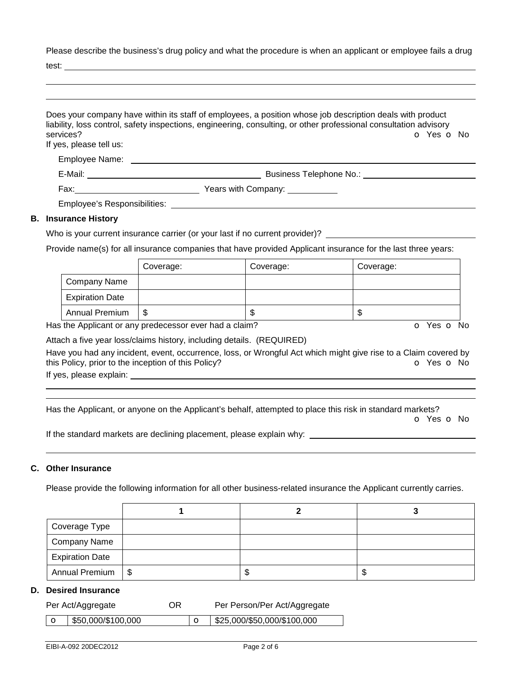Please describe the business's drug policy and what the procedure is when an applicant or employee fails a drug

test:

| services?<br>If yes, please tell us: | Does your company have within its staff of employees, a position whose job description deals with product<br>liability, loss control, safety inspections, engineering, consulting, or other professional consultation advisory<br>O Yes O No |
|--------------------------------------|----------------------------------------------------------------------------------------------------------------------------------------------------------------------------------------------------------------------------------------------|
| Employee Name: __________            |                                                                                                                                                                                                                                              |
|                                      | Business Telephone No.: <b>Example 20</b>                                                                                                                                                                                                    |
|                                      |                                                                                                                                                                                                                                              |
|                                      | Employee's Responsibilities: Next and the state of the state of the state of the state of the state of the state of the state of the state of the state of the state of the state of the state of the state of the state of th               |
| <b>B.</b> Insurance History          |                                                                                                                                                                                                                                              |
|                                      | Who is your ourrant insurance corrier (or your loot if no ourrant provider)?                                                                                                                                                                 |

# Who is your current insurance carrier (or your last if no current provider)?  $\_\_$

Provide name(s) for all insurance companies that have provided Applicant insurance for the last three years:

|                        | Coverage: | Coverage: | Coverage: |
|------------------------|-----------|-----------|-----------|
| Company Name           |           |           |           |
| <b>Expiration Date</b> |           |           |           |
| <b>Annual Premium</b>  | J         | ጥ<br>Œ    | D         |

Has the Applicant or any predecessor ever had a claim? The Contract of Monocomusic Contract of No. The Contract O

Attach a five year loss/claims history, including details. (REQUIRED)

Have you had any incident, event, occurrence, loss, or Wrongful Act which might give rise to a Claim covered by this Policy, prior to the inception of this Policy? **o Yes o No** Yes **o** No

If yes, please explain:

 

Has the Applicant, or anyone on the Applicant's behalf, attempted to place this risk in standard markets?

o Yes o No

If the standard markets are declining placement, please explain why:

# **C. Other Insurance**

Please provide the following information for all other business-related insurance the Applicant currently carries.

| Coverage Type          |      |    |
|------------------------|------|----|
| <b>Company Name</b>    |      |    |
| <b>Expiration Date</b> |      |    |
| Annual Premium   \$    | - 11 | ۰D |

## **D. Desired Insurance**

| Per Act/Aggregate                | OR | Per Person/Per Act/Aggregate |
|----------------------------------|----|------------------------------|
| $\frac{1}{2}$ \$50,000/\$100,000 |    | \$25,000/\$50,000/\$100,000  |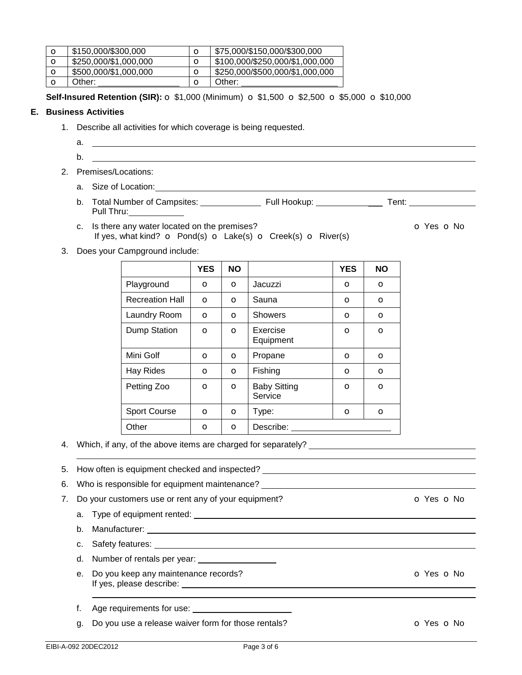| O | \$150,000/\$300,000   | O | \$75,000/\$150,000/\$300,000    |
|---|-----------------------|---|---------------------------------|
| O | \$250,000/\$1,000,000 |   | \$100,000/\$250,000/\$1,000,000 |
| O | \$500,000/\$1,000,000 | O | \$250,000/\$500,000/\$1,000,000 |
|   | Other:                |   | Other:                          |

**Self-Insured Retention (SIR):** o \$1,000 (Minimum) o \$1,500 o \$2,500 o \$5,000 o \$10,000

## **E. Business Activities**

- 1. Describe all activities for which coverage is being requested.
	- a. b.
- 2. Premises/Locations:
	- a. Size of Location:
	- b. Total Number of Campsites: Full Hookup: \_\_\_ Tent: Pull Thru:
	- c. Is there any water located on the premises? C No only the set of No only the No only the No only the No only the No only the No only the No only the No only the No only the No only the No only the No only the No only th If yes, what kind?  $\sigma$  Pond(s)  $\sigma$  Lake(s)  $\sigma$  Creek(s)  $\sigma$  River(s)

3. Does your Campground include:

|                        | <b>YES</b>   | <b>NO</b> |                                | <b>YES</b> | <b>NO</b> |
|------------------------|--------------|-----------|--------------------------------|------------|-----------|
| Playground             | $\circ$      | $\circ$   | Jacuzzi                        | $\circ$    | $\circ$   |
| <b>Recreation Hall</b> | $\circ$      | O         | Sauna                          | O          | $\circ$   |
| Laundry Room           | $\circ$      | $\circ$   | <b>Showers</b>                 | $\circ$    | $\circ$   |
| Dump Station           | $\circ$      | $\circ$   | Exercise<br>Equipment          | O          | $\circ$   |
| Mini Golf              | $\circ$      | $\circ$   | Propane                        | $\circ$    | $\circ$   |
| Hay Rides              | $\mathbf{o}$ | $\circ$   | Fishing                        | $\circ$    | $\circ$   |
| Petting Zoo            | $\mathbf{o}$ | $\circ$   | <b>Baby Sitting</b><br>Service | $\circ$    | $\circ$   |
| <b>Sport Course</b>    | $\circ$      | O         | Type:                          | O          | $\circ$   |
| Other                  | O            | O         | Describe:                      |            |           |

4. Which, if any, of the above items are charged for separately?

 5. How often is equipment checked and inspected? 6. Who is responsible for equipment maintenance? 7. Do your customers use or rent any of your equipment? **o Social CO** Yes **o** No a. Type of equipment rented: b. Manufacturer: c. Safety features: \_\_ d. Number of rentals per year: e. Do you keep any maintenance records? Communication of Yes on No. The Manuscript of Yes on No. The Manuscript of Yes on No. The Manuscript of Yes on No. The Manuscript of Yes on No. The Manuscript of Yes on No. The Manus If yes, please describe: f. Age requirements for use:

g. Do you use a release waiver form for those rentals? The contraction of Yes on No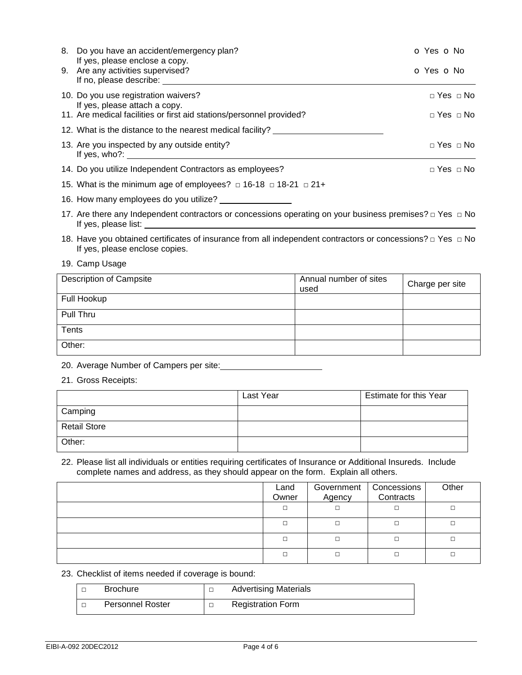| 8. Do you have an accident/emergency plan?                                                     | O Yes O No               |
|------------------------------------------------------------------------------------------------|--------------------------|
| If yes, please enclose a copy.<br>9. Are any activities supervised?<br>If no, please describe: | O Yes O No               |
| 10. Do you use registration waivers?<br>If yes, please attach a copy.                          | $\sqcap$ Yes $\sqcap$ No |
| 11. Are medical facilities or first aid stations/personnel provided?                           | $\sqcap$ Yes $\sqcap$ No |
| 12. What is the distance to the nearest medical facility?                                      |                          |
| 13. Are you inspected by any outside entity?<br>If yes, who?:                                  | $\sqcap$ Yes $\sqcap$ No |
| 14. Do you utilize Independent Contractors as employees?                                       | $\sqcap$ Yes $\sqcap$ No |
| 15. What is the minimum age of employees? $\Box$ 16-18 $\Box$ 18-21 $\Box$ 21+                 |                          |
| 16. How many employees do you utilize?                                                         |                          |

17. Are there any Independent contractors or concessions operating on your business premises? □ Yes □ No If yes, please list:

18. Have you obtained certificates of insurance from all independent contractors or concessions? □ Yes □ No If yes, please enclose copies.

#### 19. Camp Usage

| <b>Description of Campsite</b> | Annual number of sites<br>used | Charge per site |
|--------------------------------|--------------------------------|-----------------|
| Full Hookup                    |                                |                 |
| Pull Thru                      |                                |                 |
| <b>Tents</b>                   |                                |                 |
| Other:                         |                                |                 |

## 20. Average Number of Campers per site:

21. Gross Receipts:

|                     | Last Year | Estimate for this Year |
|---------------------|-----------|------------------------|
| Camping             |           |                        |
| <b>Retail Store</b> |           |                        |
| Other:              |           |                        |

#### 22. Please list all individuals or entities requiring certificates of Insurance or Additional Insureds. Include complete names and address, as they should appear on the form. Explain all others.

| Land<br>Owner | Government<br>Agency | Concessions<br>Contracts | Other |
|---------------|----------------------|--------------------------|-------|
| $\Box$        |                      |                          | □     |
| П             | □                    |                          |       |
| П             | □                    |                          |       |
| П             | П                    |                          |       |

## 23. Checklist of items needed if coverage is bound:

| <b>Brochure</b>         | <b>Advertising Materials</b> |
|-------------------------|------------------------------|
| <b>Personnel Roster</b> | <b>Registration Form</b>     |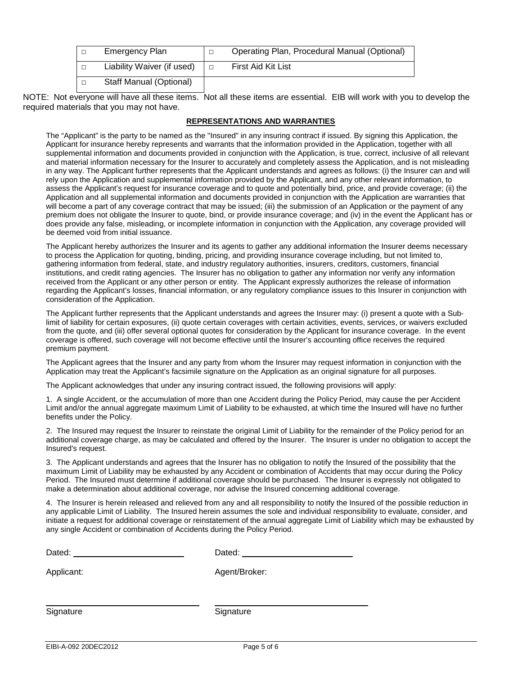| $\Box$ | <b>Emergency Plan</b>      | Operating Plan, Procedural Manual (Optional) |
|--------|----------------------------|----------------------------------------------|
| $\Box$ | Liability Waiver (if used) | First Aid Kit List                           |
| П      | Staff Manual (Optional)    |                                              |

NOTE: Not everyone will have all these items. Not all these items are essential. EIB will work with you to develop the required materials that you may not have.

### **REPRESENTATIONS AND WARRANTIES**

The "Applicant" is the party to be named as the "Insured" in any insuring contract if issued. By signing this Application, the Applicant for insurance hereby represents and warrants that the information provided in the Application, together with all supplemental information and documents provided in conjunction with the Application, is true, correct, inclusive of all relevant and material information necessary for the Insurer to accurately and completely assess the Application, and is not misleading in any way. The Applicant further represents that the Applicant understands and agrees as follows: (i) the Insurer can and will rely upon the Application and supplemental information provided by the Applicant, and any other relevant information, to assess the Applicant's request for insurance coverage and to quote and potentially bind, price, and provide coverage; (ii) the Application and all supplemental information and documents provided in conjunction with the Application are warranties that will become a part of any coverage contract that may be issued; (iii) the submission of an Application or the payment of any premium does not obligate the Insurer to quote, bind, or provide insurance coverage; and (iv) in the event the Applicant has or does provide any false, misleading, or incomplete information in conjunction with the Application, any coverage provided will be deemed void from initial issuance.

The Applicant hereby authorizes the Insurer and its agents to gather any additional information the Insurer deems necessary to process the Application for quoting, binding, pricing, and providing insurance coverage including, but not limited to, gathering information from federal, state, and industry regulatory authorities, insurers, creditors, customers, financial institutions, and credit rating agencies. The Insurer has no obligation to gather any information nor verify any information received from the Applicant or any other person or entity. The Applicant expressly authorizes the release of information regarding the Applicant's losses, financial information, or any regulatory compliance issues to this Insurer in conjunction with consideration of the Application.

The Applicant further represents that the Applicant understands and agrees the Insurer may: (i) present a quote with a Sublimit of liability for certain exposures, (ii) quote certain coverages with certain activities, events, services, or waivers excluded from the quote, and (iii) offer several optional quotes for consideration by the Applicant for insurance coverage. In the event coverage is offered, such coverage will not become effective until the Insurer's accounting office receives the required premium payment.

The Applicant agrees that the Insurer and any party from whom the Insurer may request information in conjunction with the Application may treat the Applicant's facsimile signature on the Application as an original signature for all purposes.

The Applicant acknowledges that under any insuring contract issued, the following provisions will apply:

1. A single Accident, or the accumulation of more than one Accident during the Policy Period, may cause the per Accident Limit and/or the annual aggregate maximum Limit of Liability to be exhausted, at which time the Insured will have no further benefits under the Policy.

2. The Insured may request the Insurer to reinstate the original Limit of Liability for the remainder of the Policy period for an additional coverage charge, as may be calculated and offered by the Insurer. The Insurer is under no obligation to accept the Insured's request.

3. The Applicant understands and agrees that the Insurer has no obligation to notify the Insured of the possibility that the maximum Limit of Liability may be exhausted by any Accident or combination of Accidents that may occur during the Policy Period. The Insured must determine if additional coverage should be purchased. The Insurer is expressly not obligated to make a determination about additional coverage, nor advise the Insured concerning additional coverage.

4. The Insurer is herein released and relieved from any and all responsibility to notify the Insured of the possible reduction in any applicable Limit of Liability. The Insured herein assumes the sole and individual responsibility to evaluate, consider, and initiate a request for additional coverage or reinstatement of the annual aggregate Limit of Liability which may be exhausted by any single Accident or combination of Accidents during the Policy Period.

| Dated:     | Dated:        |
|------------|---------------|
| Applicant: | Agent/Broker: |
| Signature  | Signature     |